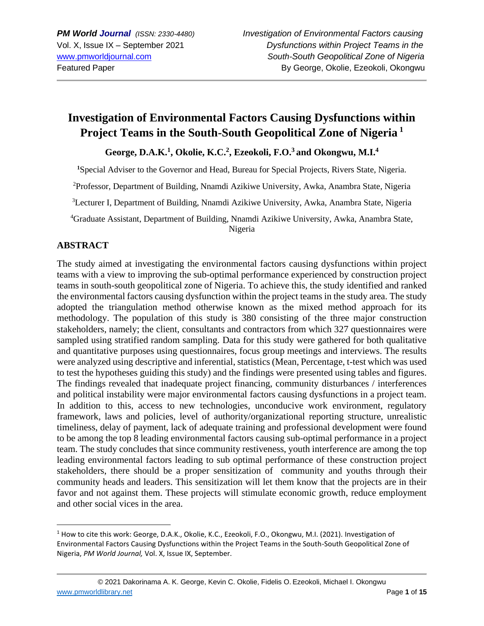# **Investigation of Environmental Factors Causing Dysfunctions within Project Teams in the South-South Geopolitical Zone of Nigeria <sup>1</sup>**

**George, D.A.K.<sup>1</sup> , Okolie, K.C.<sup>2</sup> , Ezeokoli, F.O.<sup>3</sup>and Okongwu, M.I.<sup>4</sup>**

<sup>1</sup>Special Adviser to the Governor and Head, Bureau for Special Projects, Rivers State, Nigeria.

<sup>2</sup>Professor, Department of Building, Nnamdi Azikiwe University, Awka, Anambra State, Nigeria

<sup>3</sup>Lecturer I, Department of Building, Nnamdi Azikiwe University, Awka, Anambra State, Nigeria

<sup>4</sup>Graduate Assistant, Department of Building, Nnamdi Azikiwe University, Awka, Anambra State, Nigeria

# **ABSTRACT**

The study aimed at investigating the environmental factors causing dysfunctions within project teams with a view to improving the sub-optimal performance experienced by construction project teams in south-south geopolitical zone of Nigeria. To achieve this, the study identified and ranked the environmental factors causing dysfunction within the project teams in the study area. The study adopted the triangulation method otherwise known as the mixed method approach for its methodology. The population of this study is 380 consisting of the three major construction stakeholders, namely; the client, consultants and contractors from which 327 questionnaires were sampled using stratified random sampling. Data for this study were gathered for both qualitative and quantitative purposes using questionnaires, focus group meetings and interviews. The results were analyzed using descriptive and inferential, statistics (Mean, Percentage, t-test which was used to test the hypotheses guiding this study) and the findings were presented using tables and figures. The findings revealed that inadequate project financing, community disturbances / interferences and political instability were major environmental factors causing dysfunctions in a project team. In addition to this, access to new technologies, unconducive work environment, regulatory framework, laws and policies, level of authority/organizational reporting structure, unrealistic timeliness, delay of payment, lack of adequate training and professional development were found to be among the top 8 leading environmental factors causing sub-optimal performance in a project team. The study concludes that since community restiveness, youth interference are among the top leading environmental factors leading to sub optimal performance of these construction project stakeholders, there should be a proper sensitization of community and youths through their community heads and leaders. This sensitization will let them know that the projects are in their favor and not against them. These projects will stimulate economic growth, reduce employment and other social vices in the area.

<sup>1</sup> How to cite this work: George, D.A.K., Okolie, K.C., Ezeokoli, F.O., Okongwu, M.I. (2021). Investigation of Environmental Factors Causing Dysfunctions within the Project Teams in the South-South Geopolitical Zone of Nigeria, *PM World Journal,* Vol. X, Issue IX, September.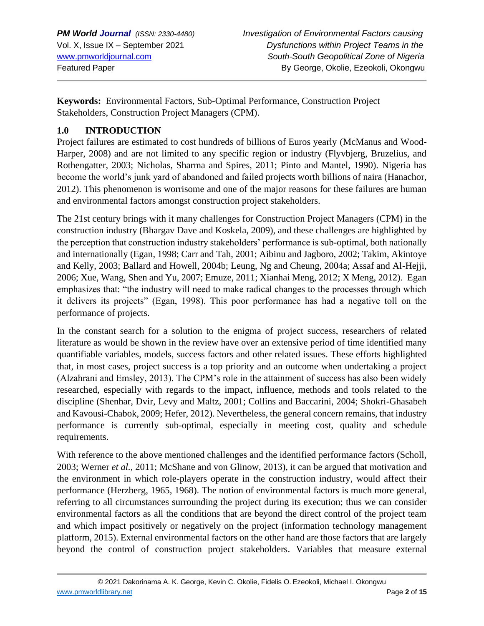**Keywords:** Environmental Factors, Sub-Optimal Performance, Construction Project Stakeholders, Construction Project Managers (CPM).

# **1.0 INTRODUCTION**

Project failures are estimated to cost hundreds of billions of Euros yearly (McManus and Wood-Harper, 2008) and are not limited to any specific region or industry (Flyvbjerg, Bruzelius, and Rothengatter, 2003; Nicholas, Sharma and Spires, 2011; Pinto and Mantel, 1990). Nigeria has become the world's junk yard of abandoned and failed projects worth billions of naira (Hanachor, 2012). This phenomenon is worrisome and one of the major reasons for these failures are human and environmental factors amongst construction project stakeholders.

The 21st century brings with it many challenges for Construction Project Managers (CPM) in the construction industry (Bhargav Dave and Koskela, 2009), and these challenges are highlighted by the perception that construction industry stakeholders' performance is sub-optimal, both nationally and internationally (Egan, 1998; Carr and Tah, 2001; Aibinu and Jagboro, 2002; Takim, Akintoye and Kelly, 2003; Ballard and Howell, 2004b; Leung, Ng and Cheung, 2004a; Assaf and Al-Hejji, 2006; Xue, Wang, Shen and Yu, 2007; Emuze, 2011; Xianhai Meng, 2012; X Meng, 2012). Egan emphasizes that: "the industry will need to make radical changes to the processes through which it delivers its projects" (Egan, 1998). This poor performance has had a negative toll on the performance of projects.

In the constant search for a solution to the enigma of project success, researchers of related literature as would be shown in the review have over an extensive period of time identified many quantifiable variables, models, success factors and other related issues. These efforts highlighted that, in most cases, project success is a top priority and an outcome when undertaking a project (Alzahrani and Emsley, 2013). The CPM's role in the attainment of success has also been widely researched, especially with regards to the impact, influence, methods and tools related to the discipline (Shenhar, Dvir, Levy and Maltz, 2001; Collins and Baccarini, 2004; Shokri-Ghasabeh and Kavousi-Chabok, 2009; Hefer, 2012). Nevertheless, the general concern remains, that industry performance is currently sub-optimal, especially in meeting cost, quality and schedule requirements.

With reference to the above mentioned challenges and the identified performance factors (Scholl, 2003; Werner *et al.,* 2011; McShane and von Glinow, 2013), it can be argued that motivation and the environment in which role-players operate in the construction industry, would affect their performance (Herzberg, 1965, 1968). The notion of environmental factors is much more general, referring to all circumstances surrounding the project during its execution; thus we can consider environmental factors as all the conditions that are beyond the direct control of the project team and which impact positively or negatively on the project (information technology management platform, 2015). External environmental factors on the other hand are those factors that are largely beyond the control of construction project stakeholders. Variables that measure external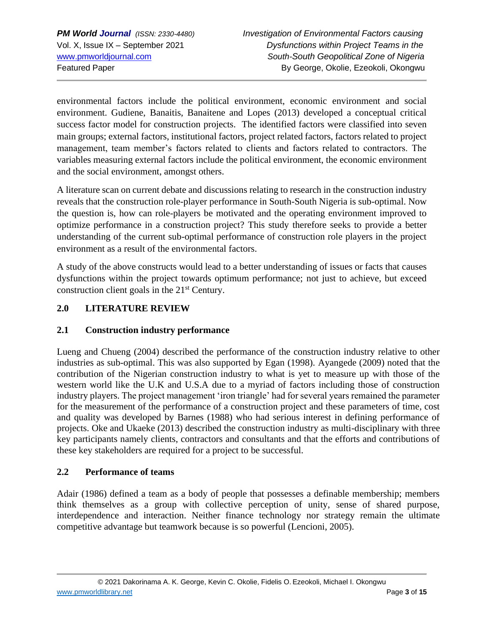environmental factors include the political environment, economic environment and social environment. Gudiene, Banaitis, Banaitene and Lopes (2013) developed a conceptual critical success factor model for construction projects. The identified factors were classified into seven main groups; external factors, institutional factors, project related factors, factors related to project management, team member's factors related to clients and factors related to contractors. The variables measuring external factors include the political environment, the economic environment and the social environment, amongst others.

A literature scan on current debate and discussions relating to research in the construction industry reveals that the construction role-player performance in South-South Nigeria is sub-optimal. Now the question is, how can role-players be motivated and the operating environment improved to optimize performance in a construction project? This study therefore seeks to provide a better understanding of the current sub-optimal performance of construction role players in the project environment as a result of the environmental factors.

A study of the above constructs would lead to a better understanding of issues or facts that causes dysfunctions within the project towards optimum performance; not just to achieve, but exceed construction client goals in the  $21<sup>st</sup>$  Century.

# **2.0 LITERATURE REVIEW**

# **2.1 Construction industry performance**

Lueng and Chueng (2004) described the performance of the construction industry relative to other industries as sub-optimal. This was also supported by Egan (1998). Ayangede (2009) noted that the contribution of the Nigerian construction industry to what is yet to measure up with those of the western world like the U.K and U.S.A due to a myriad of factors including those of construction industry players. The project management 'iron triangle' had for several years remained the parameter for the measurement of the performance of a construction project and these parameters of time, cost and quality was developed by Barnes (1988) who had serious interest in defining performance of projects. Oke and Ukaeke (2013) described the construction industry as multi-disciplinary with three key participants namely clients, contractors and consultants and that the efforts and contributions of these key stakeholders are required for a project to be successful.

### **2.2 Performance of teams**

Adair (1986) defined a team as a body of people that possesses a definable membership; members think themselves as a group with collective perception of unity, sense of shared purpose, interdependence and interaction. Neither finance technology nor strategy remain the ultimate competitive advantage but teamwork because is so powerful (Lencioni, 2005).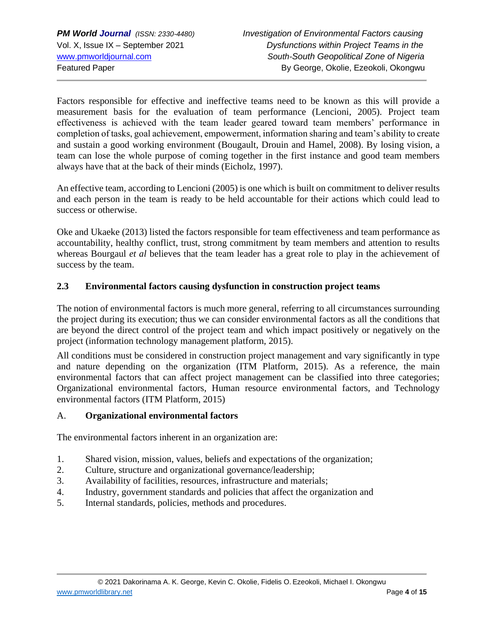Factors responsible for effective and ineffective teams need to be known as this will provide a measurement basis for the evaluation of team performance (Lencioni, 2005). Project team effectiveness is achieved with the team leader geared toward team members' performance in completion of tasks, goal achievement, empowerment, information sharing and team's ability to create and sustain a good working environment (Bougault, Drouin and Hamel, 2008). By losing vision, a team can lose the whole purpose of coming together in the first instance and good team members always have that at the back of their minds (Eicholz, 1997).

An effective team, according to Lencioni (2005) is one which is built on commitment to deliver results and each person in the team is ready to be held accountable for their actions which could lead to success or otherwise.

Oke and Ukaeke (2013) listed the factors responsible for team effectiveness and team performance as accountability, healthy conflict, trust, strong commitment by team members and attention to results whereas Bourgaul *et al* believes that the team leader has a great role to play in the achievement of success by the team.

### **2.3 Environmental factors causing dysfunction in construction project teams**

The notion of environmental factors is much more general, referring to all circumstances surrounding the project during its execution; thus we can consider environmental factors as all the conditions that are beyond the direct control of the project team and which impact positively or negatively on the project (information technology management platform, 2015).

All conditions must be considered in construction project management and vary significantly in type and nature depending on the organization (ITM Platform, 2015). As a reference, the main environmental factors that can affect project management can be classified into three categories; Organizational environmental factors, Human resource environmental factors, and Technology environmental factors (ITM Platform, 2015)

### A. **Organizational environmental factors**

The environmental factors inherent in an organization are:

- 1. Shared vision, mission, values, beliefs and expectations of the organization;
- 2. Culture, structure and organizational governance/leadership;
- 3. Availability of facilities, resources, infrastructure and materials;
- 4. Industry, government standards and policies that affect the organization and
- 5. Internal standards, policies, methods and procedures.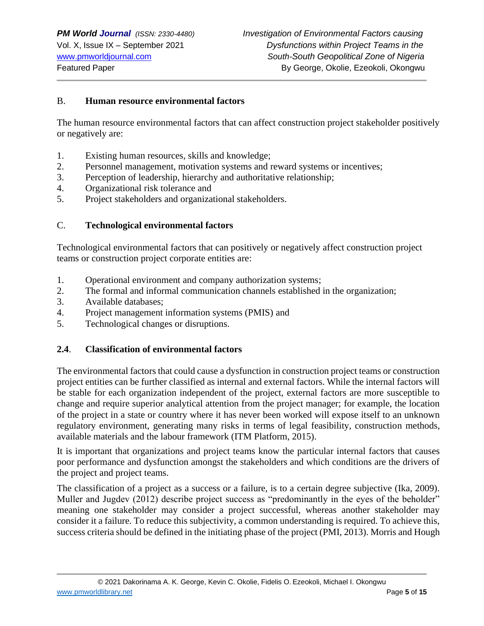#### B. **Human resource environmental factors**

The human resource environmental factors that can affect construction project stakeholder positively or negatively are:

- 1. Existing human resources, skills and knowledge;
- 2. Personnel management, motivation systems and reward systems or incentives;
- 3. Perception of leadership, hierarchy and authoritative relationship;
- 4. Organizational risk tolerance and
- 5. Project stakeholders and organizational stakeholders.

#### C. **Technological environmental factors**

Technological environmental factors that can positively or negatively affect construction project teams or construction project corporate entities are:

- 1. Operational environment and company authorization systems;
- 2. The formal and informal communication channels established in the organization;
- 3. Available databases;
- 4. Project management information systems (PMIS) and
- 5. Technological changes or disruptions.

#### **2.4**. **Classification of environmental factors**

The environmental factors that could cause a dysfunction in construction project teams or construction project entities can be further classified as internal and external factors. While the internal factors will be stable for each organization independent of the project, external factors are more susceptible to change and require superior analytical attention from the project manager; for example, the location of the project in a state or country where it has never been worked will expose itself to an unknown regulatory environment, generating many risks in terms of legal feasibility, construction methods, available materials and the labour framework (ITM Platform, 2015).

It is important that organizations and project teams know the particular internal factors that causes poor performance and dysfunction amongst the stakeholders and which conditions are the drivers of the project and project teams.

The classification of a project as a success or a failure, is to a certain degree subjective (Ika, 2009). Muller and Jugdev (2012) describe project success as "predominantly in the eyes of the beholder" meaning one stakeholder may consider a project successful, whereas another stakeholder may consider it a failure. To reduce this subjectivity, a common understanding is required. To achieve this, success criteria should be defined in the initiating phase of the project (PMI, 2013). Morris and Hough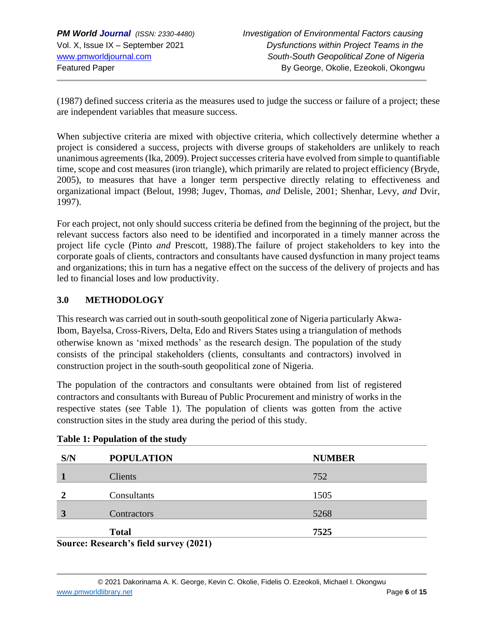(1987) defined success criteria as the measures used to judge the success or failure of a project; these are independent variables that measure success.

When subjective criteria are mixed with objective criteria, which collectively determine whether a project is considered a success, projects with diverse groups of stakeholders are unlikely to reach unanimous agreements (Ika, 2009). Project successes criteria have evolved from simple to quantifiable time, scope and cost measures (iron triangle), which primarily are related to project efficiency (Bryde, 2005), to measures that have a longer term perspective directly relating to effectiveness and organizational impact (Belout, 1998; Jugev, Thomas, *and* Delisle, 2001; Shenhar, Levy, *and* Dvir, 1997).

For each project, not only should success criteria be defined from the beginning of the project, but the relevant success factors also need to be identified and incorporated in a timely manner across the project life cycle (Pinto *and* Prescott, 1988).The failure of project stakeholders to key into the corporate goals of clients, contractors and consultants have caused dysfunction in many project teams and organizations; this in turn has a negative effect on the success of the delivery of projects and has led to financial loses and low productivity.

## **3.0 METHODOLOGY**

This research was carried out in south-south geopolitical zone of Nigeria particularly Akwa-Ibom, Bayelsa, Cross-Rivers, Delta, Edo and Rivers States using a triangulation of methods otherwise known as 'mixed methods' as the research design. The population of the study consists of the principal stakeholders (clients, consultants and contractors) involved in construction project in the south-south geopolitical zone of Nigeria.

The population of the contractors and consultants were obtained from list of registered contractors and consultants with Bureau of Public Procurement and ministry of works in the respective states (see Table 1). The population of clients was gotten from the active construction sites in the study area during the period of this study.

| S/N | <b>POPULATION</b>                                                                                                                                        | <b>NUMBER</b> |
|-----|----------------------------------------------------------------------------------------------------------------------------------------------------------|---------------|
|     | <b>Clients</b>                                                                                                                                           | 752           |
|     | Consultants                                                                                                                                              | 1505          |
| 3   | Contractors                                                                                                                                              | 5268          |
|     | <b>Total</b>                                                                                                                                             | 7525          |
|     | $S_{\alpha\mu\nu\alpha\alpha\lambda}$ $D_{\alpha\beta\alpha\alpha\mu\alpha}$ $D_{\alpha}$ $E_{\alpha}$ $d_{\alpha}$ $\mu_{\nu\alpha\nu\alpha\nu}$ (2021) |               |

#### **Table 1: Population of the study**

**Source: Research's field survey (2021)**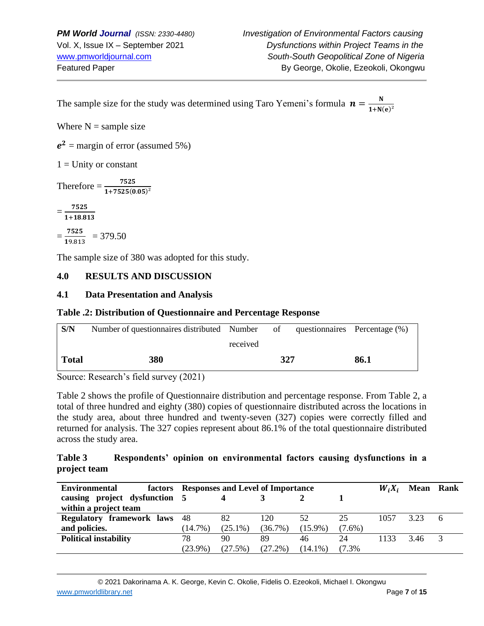The sample size for the study was determined using Taro Yemeni's formula  $\mathbf{n} = \frac{\mathbf{N}}{4 \cdot \mathbf{N}}$  $1 + N(e)^2$ 

Where  $N =$  sample size

 $e^2$  = margin of error (assumed 5%)

 $1 =$  Unity or constant

Therefore  $=\frac{7525}{1+7525(0.05)^2}$ 

 $=\frac{7525}{1.488}$ 1+18.813

 $=\frac{7525}{10.04}$  $\frac{7323}{19.813}$  = 379.50

The sample size of 380 was adopted for this study.

### **4.0 RESULTS AND DISCUSSION**

#### **4.1 Data Presentation and Analysis**

#### **Table .2: Distribution of Questionnaire and Percentage Response**

| S/N          | Number of questionnaires distributed Number of |          |     | questionnaires Percentage (%) |
|--------------|------------------------------------------------|----------|-----|-------------------------------|
|              |                                                | received |     |                               |
| <b>Total</b> | 380                                            |          | 327 | 86.1                          |

Source: Research's field survey (2021)

Table 2 shows the profile of Questionnaire distribution and percentage response. From Table 2, a total of three hundred and eighty (380) copies of questionnaire distributed across the locations in the study area, about three hundred and twenty-seven (327) copies were correctly filled and returned for analysis. The 327 copies represent about 86.1% of the total questionnaire distributed across the study area.

#### **Table 3 Respondents' opinion on environmental factors causing dysfunctions in a project team**

| <b>Environmental</b>             |            | factors Responses and Level of Importance |            |            |           | $W_i X_i$ | <b>Mean</b> | Rank |
|----------------------------------|------------|-------------------------------------------|------------|------------|-----------|-----------|-------------|------|
| causing project dysfunction 5    |            |                                           |            |            |           |           |             |      |
| within a project team            |            |                                           |            |            |           |           |             |      |
| <b>Regulatory framework laws</b> | 48         | 82                                        | 120        | 52         | 25        | 1057      | 323         |      |
| and policies.                    | $(14.7\%)$ | $(25.1\%)$                                | $(36.7\%)$ | $(15.9\%)$ | $(7.6\%)$ |           |             |      |
| <b>Political instability</b>     | 78         | 90                                        | 89         | 46         | 24        | 1133      | 3.46        |      |
|                                  | $(23.9\%)$ | (27.5%)                                   | $(27.2\%)$ | $(14.1\%)$ | (7.3%     |           |             |      |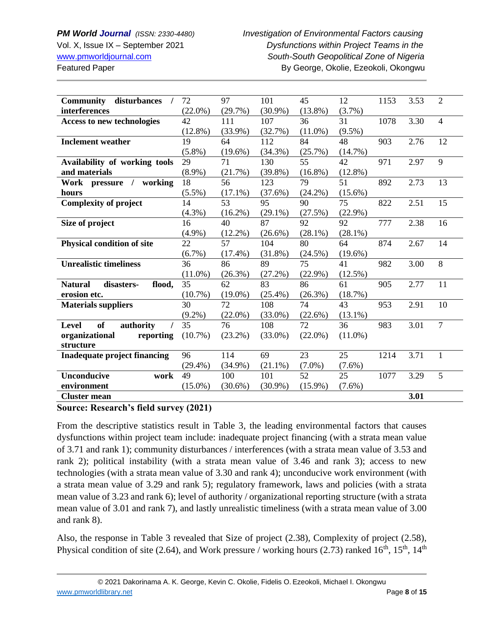## *PM World Journal (ISSN: 2330-4480) Investigation of Environmental Factors causing* Vol. X, Issue IX – September 2021 *Dysfunctions within Project Teams in the* [www.pmworldjournal.com](http://www.pmworldjournal.com/) *South-South Geopolitical Zone of Nigeria* Featured Paper **By George, Okolie, Ezeokoli, Okongwu**

| <b>Community</b><br>disturbances       | 72         | 97         | 101        | 45         | 12         | 1153 | 3.53 | $\overline{2}$ |
|----------------------------------------|------------|------------|------------|------------|------------|------|------|----------------|
| interferences                          | $(22.0\%)$ | (29.7%)    | $(30.9\%)$ | $(13.8\%)$ | $(3.7\%)$  |      |      |                |
| <b>Access to new technologies</b>      | 42         | 111        | 107        | 36         | 31         | 1078 | 3.30 | $\overline{4}$ |
|                                        | $(12.8\%)$ | $(33.9\%)$ | (32.7%)    | $(11.0\%)$ | $(9.5\%)$  |      |      |                |
| <b>Inclement weather</b>               | 19         | 64         | 112        | 84         | 48         | 903  | 2.76 | 12             |
|                                        | $(5.8\%)$  | $(19.6\%)$ | $(34.3\%)$ | (25.7%)    | $(14.7\%)$ |      |      |                |
| Availability of working tools          | 29         | 71         | 130        | 55         | 42         | 971  | 2.97 | 9              |
| and materials                          | $(8.9\%)$  | (21.7%)    | $(39.8\%)$ | $(16.8\%)$ | $(12.8\%)$ |      |      |                |
| working<br>Work pressure /             | 18         | 56         | 123        | 79         | 51         | 892  | 2.73 | 13             |
| hours                                  | $(5.5\%)$  | $(17.1\%)$ | $(37.6\%)$ | $(24.2\%)$ | $(15.6\%)$ |      |      |                |
| <b>Complexity of project</b>           | 14         | 53         | 95         | 90         | 75         | 822  | 2.51 | 15             |
|                                        | $(4.3\%)$  | $(16.2\%)$ | $(29.1\%)$ | (27.5%)    | $(22.9\%)$ |      |      |                |
| Size of project                        | 16         | 40         | 87         | 92         | 92         | 777  | 2.38 | 16             |
|                                        | $(4.9\%)$  | $(12.2\%)$ | $(26.6\%)$ | $(28.1\%)$ | $(28.1\%)$ |      |      |                |
| <b>Physical condition of site</b>      | 22         | 57         | 104        | 80         | 64         | 874  | 2.67 | 14             |
|                                        | $(6.7\%)$  | $(17.4\%)$ | $(31.8\%)$ | $(24.5\%)$ | $(19.6\%)$ |      |      |                |
| <b>Unrealistic timeliness</b>          | 36         | 86         | 89         | 75         | 41         | 982  | 3.00 | 8              |
|                                        | $(11.0\%)$ | $(26.3\%)$ | $(27.2\%)$ | $(22.9\%)$ | $(12.5\%)$ |      |      |                |
| disasters-<br><b>Natural</b><br>flood, | 35         | 62         | 83         | 86         | 61         | 905  | 2.77 | 11             |
| erosion etc.                           | $(10.7\%)$ | $(19.0\%)$ | $(25.4\%)$ | $(26.3\%)$ | $(18.7\%)$ |      |      |                |
| <b>Materials suppliers</b>             | 30         | 72         | 108        | 74         | 43         | 953  | 2.91 | 10             |
|                                        | $(9.2\%)$  | $(22.0\%)$ | $(33.0\%)$ | $(22.6\%)$ | $(13.1\%)$ |      |      |                |
| of<br>authority<br>Level               | 35         | 76         | 108        | 72         | 36         | 983  | 3.01 | $\overline{7}$ |
| organizational<br>reporting            | $(10.7\%)$ | $(23.2\%)$ | $(33.0\%)$ | $(22.0\%)$ | $(11.0\%)$ |      |      |                |
| structure                              |            |            |            |            |            |      |      |                |
| <b>Inadequate project financing</b>    | 96         | 114        | 69         | 23         | 25         | 1214 | 3.71 | $\mathbf{1}$   |
|                                        | $(29.4\%)$ | $(34.9\%)$ | $(21.1\%)$ | $(7.0\%)$  | $(7.6\%)$  |      |      |                |
| <b>Unconducive</b><br>work             | 49         | 100        | 101        | 52         | 25         | 1077 | 3.29 | 5              |
| environment                            | $(15.0\%)$ | $(30.6\%)$ | $(30.9\%)$ | $(15.9\%)$ | $(7.6\%)$  |      |      |                |
| <b>Cluster mean</b>                    |            |            |            |            |            |      | 3.01 |                |

### **Source: Research's field survey (2021)**

From the descriptive statistics result in Table 3, the leading environmental factors that causes dysfunctions within project team include: inadequate project financing (with a strata mean value of 3.71 and rank 1); community disturbances / interferences (with a strata mean value of 3.53 and rank 2); political instability (with a strata mean value of 3.46 and rank 3); access to new technologies (with a strata mean value of 3.30 and rank 4); unconducive work environment (with a strata mean value of 3.29 and rank 5); regulatory framework, laws and policies (with a strata mean value of 3.23 and rank 6); level of authority / organizational reporting structure (with a strata mean value of 3.01 and rank 7), and lastly unrealistic timeliness (with a strata mean value of 3.00 and rank 8).

Also, the response in Table 3 revealed that Size of project (2.38), Complexity of project (2.58), Physical condition of site (2.64), and Work pressure / working hours (2.73) ranked  $16^{th}$ ,  $15^{th}$ ,  $14^{th}$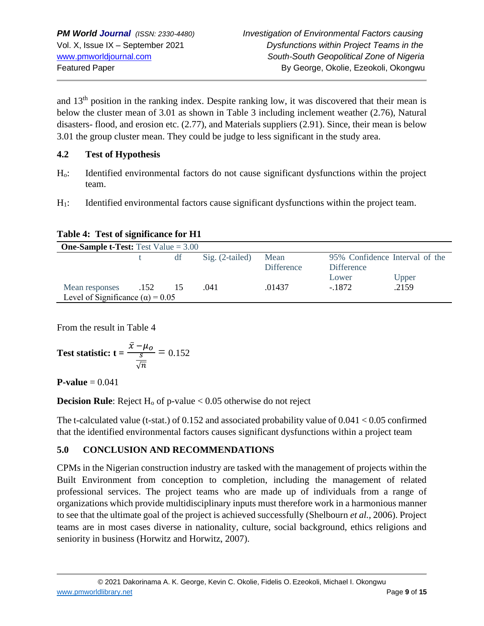and 13th position in the ranking index. Despite ranking low, it was discovered that their mean is below the cluster mean of 3.01 as shown in Table 3 including inclement weather (2.76), Natural disasters- flood, and erosion etc. (2.77), and Materials suppliers (2.91). Since, their mean is below 3.01 the group cluster mean. They could be judge to less significant in the study area.

### **4.2 Test of Hypothesis**

- Ho: Identified environmental factors do not cause significant dysfunctions within the project team.
- H<sub>1</sub>: Identified environmental factors cause significant dysfunctions within the project team.

| Table 4: Test of significance for H1 |  |
|--------------------------------------|--|
|--------------------------------------|--|

| <b>One-Sample t-Test:</b> Test Value $= 3.00$ |      |    |                   |                   |                   |                                |  |  |  |
|-----------------------------------------------|------|----|-------------------|-------------------|-------------------|--------------------------------|--|--|--|
|                                               |      | df | $Sig. (2-tailed)$ | Mean              |                   | 95% Confidence Interval of the |  |  |  |
|                                               |      |    |                   | <b>Difference</b> | <b>Difference</b> |                                |  |  |  |
|                                               |      |    |                   |                   | Lower             | Upper                          |  |  |  |
| Mean responses                                | .152 |    | .041              | .01437            | $-1872$           | .2159                          |  |  |  |
| Level of Significance ( $\alpha$ ) = 0.05     |      |    |                   |                   |                   |                                |  |  |  |

From the result in Table 4

Test statistic: 
$$
t = {\frac{\bar{x} - \mu_o}{\frac{s}{\sqrt{n}}}} = 0.152
$$

**P-value** =  $0.041$ 

**Decision Rule**: Reject  $H_0$  of p-value  $< 0.05$  otherwise do not reject

The t-calculated value (t-stat.) of  $0.152$  and associated probability value of  $0.041 < 0.05$  confirmed that the identified environmental factors causes significant dysfunctions within a project team

# **5.0 CONCLUSION AND RECOMMENDATIONS**

CPMs in the Nigerian construction industry are tasked with the management of projects within the Built Environment from conception to completion, including the management of related professional services. The project teams who are made up of individuals from a range of organizations which provide multidisciplinary inputs must therefore work in a harmonious manner to see that the ultimate goal of the project is achieved successfully (Shelbourn *et al.,* 2006). Project teams are in most cases diverse in nationality, culture, social background, ethics religions and seniority in business (Horwitz and Horwitz, 2007).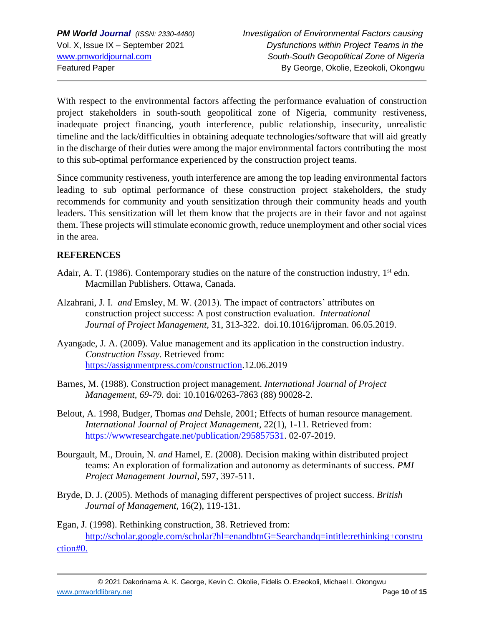With respect to the environmental factors affecting the performance evaluation of construction project stakeholders in south-south geopolitical zone of Nigeria, community restiveness, inadequate project financing, youth interference, public relationship, insecurity, unrealistic timeline and the lack/difficulties in obtaining adequate technologies/software that will aid greatly in the discharge of their duties were among the major environmental factors contributing the most to this sub-optimal performance experienced by the construction project teams.

Since community restiveness, youth interference are among the top leading environmental factors leading to sub optimal performance of these construction project stakeholders, the study recommends for community and youth sensitization through their community heads and youth leaders. This sensitization will let them know that the projects are in their favor and not against them. These projects will stimulate economic growth, reduce unemployment and other social vices in the area.

# **REFERENCES**

- Adair, A. T. (1986). Contemporary studies on the nature of the construction industry,  $1<sup>st</sup>$  edn. Macmillan Publishers. Ottawa, Canada.
- Alzahrani, J. I. *and* Emsley, M. W. (2013). The impact of contractors' attributes on construction project success: A post construction evaluation. *International Journal of Project Management,* 31, 313-322. doi.10.1016/ijproman. 06.05.2019.
- Ayangade, J. A. (2009). Value management and its application in the construction industry. *Construction Essay*. Retrieved from: [https://assignmentpress.com/construction.](https://assignmentpress.com/construction)12.06.2019
- Barnes, M. (1988). Construction project management. *International Journal of Project Management, 69-79.* doi: 10.1016/0263-7863 (88) 90028-2.
- Belout, A. 1998, Budger, Thomas *and* Dehsle, 2001; Effects of human resource management. *International Journal of Project Management,* 22(1), 1-11. Retrieved from: [https://wwwresearchgate.net/publication/295857531.](https://wwwresearchgate.net/publication/295857531) 02-07-2019.
- Bourgault, M., Drouin, N. *and* Hamel, E. (2008). Decision making within distributed project teams: An exploration of formalization and autonomy as determinants of success. *PMI Project Management Journal*, 597, 397-511.
- Bryde, D. J. (2005). Methods of managing different perspectives of project success. *British Journal of Management,* 16(2), 119-131.

Egan, J. (1998). Rethinking construction, 38. Retrieved from: <http://scholar.google.com/scholar?hl=enandbtnG=Searchandq=intitle:rethinking+constru> ction#0.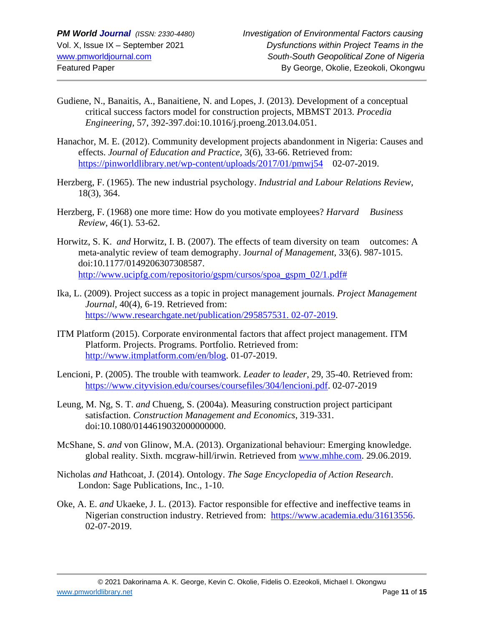- Gudiene, N., Banaitis, A., Banaitiene, N. and Lopes, J. (2013). Development of a conceptual critical success factors model for construction projects, MBMST 2013. *Procedia Engineering,* 57, 392-397.doi:10.1016/j.proeng.2013.04.051.
- Hanachor, M. E. (2012). Community development projects abandonment in Nigeria: Causes and effects. *Journal of Education and Practice,* 3(6), 33-66. Retrieved from: <https://pinworldlibrary.net/wp-content/uploads/2017/01/pmwj54>02-07-2019.
- Herzberg, F. (1965). The new industrial psychology. *Industrial and Labour Relations Review,* 18(3), 364.
- Herzberg, F. (1968) one more time: How do you motivate employees? *Harvard Business Review,* 46(1). 53-62.
- Horwitz, S. K. *and* Horwitz, I. B. (2007). The effects of team diversity on team outcomes: A meta-analytic review of team demography. J*ournal of Management,* 33(6). 987-1015. doi:10.1177/0149206307308587. [http://www.ucipfg.com/repositorio/gspm/cursos/spoa\\_gspm\\_02/1.pdf#](http://www.ucipfg.com/repositorio/gspm/cursos/spoa_gspm_02/1.pdf)
- Ika, L. (2009). Project success as a topic in project management journals. *Project Management Journal,* 40(4), 6-19. Retrieved from: [https://www.researchgate.net/publication/295857531. 02-07-2019.](https://www.researchgate.net/publication/295857531.%2002-07-2019)
- ITM Platform (2015). Corporate environmental factors that affect project management. ITM Platform. Projects. Programs. Portfolio. Retrieved from: [http://www.itmplatform.com/en/blog.](http://www.itmplatform.com/en/blog) 01-07-2019.
- Lencioni, P. (2005). The trouble with teamwork. *Leader to leader*, 29, 35-40. Retrieved from: [https://www.cityvision.edu/courses/coursefiles/304/lencioni.pdf.](https://www.cityvision.edu/courses/coursefiles/304/lencioni.pdf) 02-07-2019
- Leung, M. Ng, S. T. *and* Chueng, S. (2004a). Measuring construction project participant satisfaction. *Construction Management and Economics*, 319-331. doi:10.1080/0144619032000000000.
- McShane, S. *and* von Glinow, M.A. (2013). Organizational behaviour: Emerging knowledge. global reality. Sixth. mcgraw-hill/irwin. Retrieved from [www.mhhe.com.](http://www.mhhe.com/) 29.06.2019.
- Nicholas *and* Hathcoat, J. (2014). Ontology. *The Sage Encyclopedia of Action Research*. London: Sage Publications, Inc., 1-10.
- Oke, A. E. *and* Ukaeke, J. L. (2013). Factor responsible for effective and ineffective teams in Nigerian construction industry. Retrieved from: [https://www.academia.edu/31613556.](https://www.academia.edu/31613556) 02-07-2019.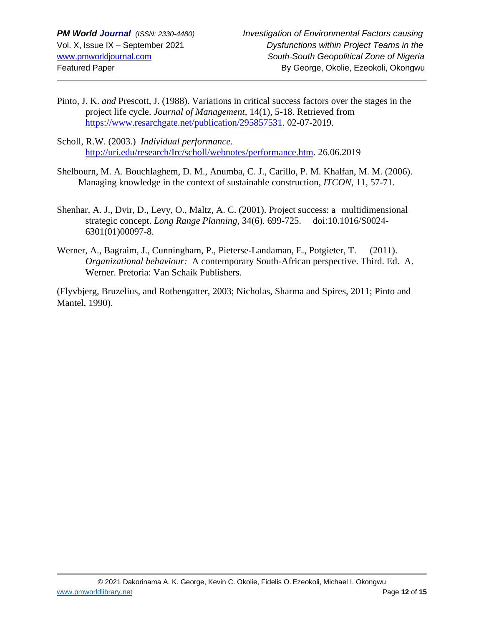- Pinto, J. K. *and* Prescott, J. (1988). Variations in critical success factors over the stages in the project life cycle. *Journal of Management,* 14(1), 5-18. Retrieved from [https://www.resarchgate.net/publication/295857531.](https://www.resarchgate.net/publication/295857531) 02-07-2019.
- Scholl, R.W. (2003.) *Individual performance*. [http://uri.edu/research/Irc/scholl/webnotes/performance.htm.](http://uri.edu/research/Irc/scholl/webnotes/performance.htm) 26.06.2019
- Shelbourn, M. A. Bouchlaghem, D. M., Anumba, C. J., Carillo, P. M. Khalfan, M. M. (2006). Managing knowledge in the context of sustainable construction, *ITCON,* 11, 57-71.
- Shenhar, A. J., Dvir, D., Levy, O., Maltz, A. C. (2001). Project success: a multidimensional strategic concept. *Long Range Planning,* 34(6). 699-725. doi:10.1016/S0024- 6301(01)00097-8.
- Werner, A., Bagraim, J., Cunningham, P., Pieterse-Landaman, E., Potgieter, T. (2011). *Organizational behaviour:* A contemporary South-African perspective. Third. Ed. A. Werner. Pretoria: Van Schaik Publishers.

(Flyvbjerg, Bruzelius, and Rothengatter, 2003; Nicholas, Sharma and Spires, 2011; Pinto and Mantel, 1990).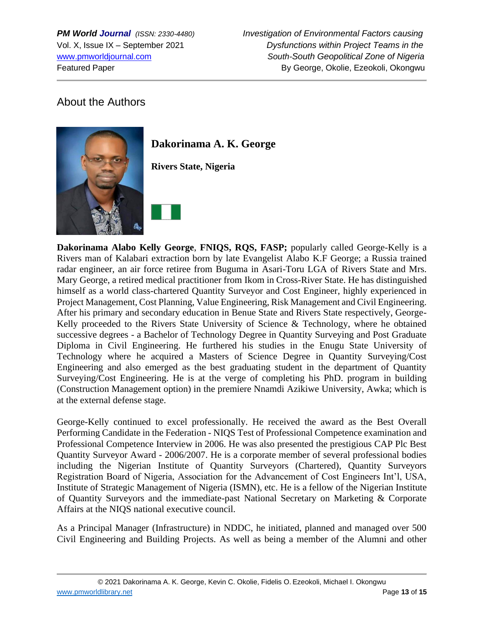# About the Authors



**Dakorinama A. K. George**

**Rivers State, Nigeria**

**Dakorinama Alabo Kelly George**, **FNIQS, RQS, FASP;** popularly called George-Kelly is a Rivers man of Kalabari extraction born by late Evangelist Alabo K.F George; a Russia trained radar engineer, an air force retiree from Buguma in Asari-Toru LGA of Rivers State and Mrs. Mary George, a retired medical practitioner from Ikom in Cross-River State. He has distinguished himself as a world class-chartered Quantity Surveyor and Cost Engineer, highly experienced in Project Management, Cost Planning, Value Engineering, Risk Management and Civil Engineering. After his primary and secondary education in Benue State and Rivers State respectively, George-Kelly proceeded to the Rivers State University of Science & Technology, where he obtained successive degrees - a Bachelor of Technology Degree in Quantity Surveying and Post Graduate Diploma in Civil Engineering. He furthered his studies in the Enugu State University of Technology where he acquired a Masters of Science Degree in Quantity Surveying/Cost Engineering and also emerged as the best graduating student in the department of Quantity Surveying/Cost Engineering. He is at the verge of completing his PhD. program in building (Construction Management option) in the premiere Nnamdi Azikiwe University, Awka; which is at the external defense stage.

George-Kelly continued to excel professionally. He received the award as the Best Overall Performing Candidate in the Federation - NIQS Test of Professional Competence examination and Professional Competence Interview in 2006. He was also presented the prestigious CAP Plc Best Quantity Surveyor Award - 2006/2007. He is a corporate member of several professional bodies including the Nigerian Institute of Quantity Surveyors (Chartered), Quantity Surveyors Registration Board of Nigeria, Association for the Advancement of Cost Engineers Int'l, USA, Institute of Strategic Management of Nigeria (ISMN), etc. He is a fellow of the Nigerian Institute of Quantity Surveyors and the immediate-past National Secretary on Marketing & Corporate Affairs at the NIQS national executive council.

As a Principal Manager (Infrastructure) in NDDC, he initiated, planned and managed over 500 Civil Engineering and Building Projects. As well as being a member of the Alumni and other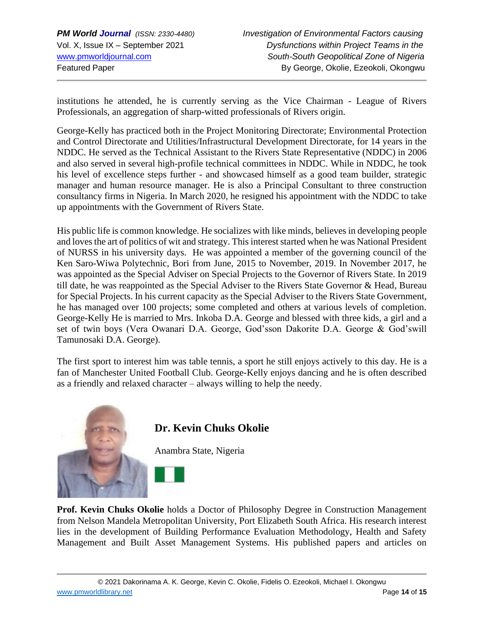institutions he attended, he is currently serving as the Vice Chairman - League of Rivers Professionals, an aggregation of sharp-witted professionals of Rivers origin.

George-Kelly has practiced both in the Project Monitoring Directorate; Environmental Protection and Control Directorate and Utilities/Infrastructural Development Directorate, for 14 years in the NDDC. He served as the Technical Assistant to the Rivers State Representative (NDDC) in 2006 and also served in several high-profile technical committees in NDDC. While in NDDC, he took his level of excellence steps further - and showcased himself as a good team builder, strategic manager and human resource manager. He is also a Principal Consultant to three construction consultancy firms in Nigeria. In March 2020, he resigned his appointment with the NDDC to take up appointments with the Government of Rivers State.

His public life is common knowledge. He socializes with like minds, believes in developing people and loves the art of politics of wit and strategy. This interest started when he was National President of NURSS in his university days. He was appointed a member of the governing council of the Ken Saro-Wiwa Polytechnic, Bori from June, 2015 to November, 2019. In November 2017, he was appointed as the Special Adviser on Special Projects to the Governor of Rivers State. In 2019 till date, he was reappointed as the Special Adviser to the Rivers State Governor & Head, Bureau for Special Projects. In his current capacity as the Special Adviser to the Rivers State Government, he has managed over 100 projects; some completed and others at various levels of completion. George-Kelly He is married to Mrs. Inkoba D.A. George and blessed with three kids, a girl and a set of twin boys (Vera Owanari D.A. George, God'sson Dakorite D.A. George & God'swill Tamunosaki D.A. George).

The first sport to interest him was table tennis, a sport he still enjoys actively to this day. He is a fan of Manchester United Football Club. George-Kelly enjoys dancing and he is often described as a friendly and relaxed character – always willing to help the needy.



# **Dr. Kevin Chuks Okolie**

Anambra State, Nigeria



**Prof. Kevin Chuks Okolie** holds a Doctor of Philosophy Degree in Construction Management from Nelson Mandela Metropolitan University, Port Elizabeth South Africa. His research interest lies in the development of Building Performance Evaluation Methodology, Health and Safety Management and Built Asset Management Systems. His published papers and articles on